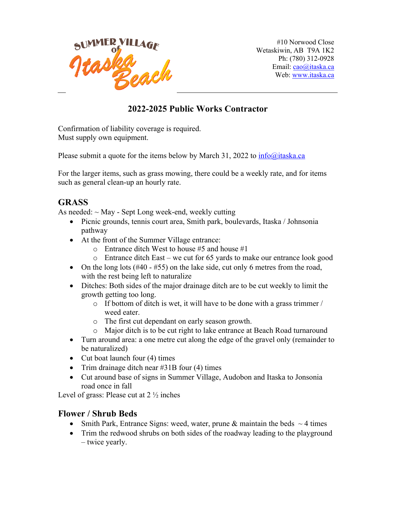

#10 Norwood Close Wetaskiwin, AB T9A 1K2 Ph: (780) 312-0928 Email: cao@itaska.ca Web: www.itaska.ca

## **2022-2025 Public Works Contractor**

Confirmation of liability coverage is required. Must supply own equipment.

Please submit a quote for the items below by March 31, 2022 to  $\frac{info(@)$ itaska.ca

For the larger items, such as grass mowing, there could be a weekly rate, and for items such as general clean-up an hourly rate.

### **GRASS**

As needed:  $\sim$  May - Sept Long week-end, weekly cutting

- Picnic grounds, tennis court area, Smith park, boulevards, Itaska / Johnsonia pathway
- At the front of the Summer Village entrance:
	- o Entrance ditch West to house #5 and house #1
	- o Entrance ditch East we cut for 65 yards to make our entrance look good
- On the long lots  $(\#40 \#55)$  on the lake side, cut only 6 metres from the road, with the rest being left to naturalize
- Ditches: Both sides of the major drainage ditch are to be cut weekly to limit the growth getting too long.
	- o If bottom of ditch is wet, it will have to be done with a grass trimmer / weed eater.
	- o The first cut dependant on early season growth.
	- o Major ditch is to be cut right to lake entrance at Beach Road turnaround
- Turn around area: a one metre cut along the edge of the gravel only (remainder to be naturalized)
- Cut boat launch four (4) times
- Trim drainage ditch near #31B four (4) times
- Cut around base of signs in Summer Village, Audobon and Itaska to Jonsonia road once in fall

Level of grass: Please cut at  $2\frac{1}{2}$  inches

#### **Flower / Shrub Beds**

- Smith Park, Entrance Signs: weed, water, prune & maintain the beds  $\sim$  4 times
- Trim the redwood shrubs on both sides of the roadway leading to the playground – twice yearly.